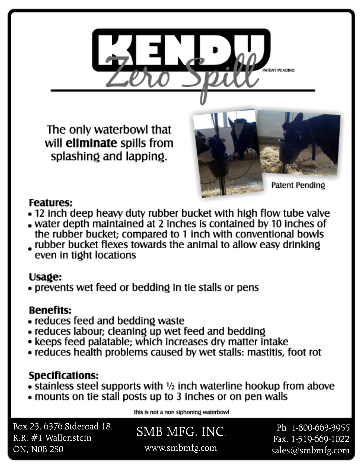

The only waterbowl that will eliminate spills from splashing and lapping.



### **Features:**

- 12 inch deep heavy duty rubber bucket with high flow tube valve
- water depth maintained at 2 inches is contained by 10 inches of the rubber bucket; compared to 1 inch with conventional bowls
- ubber bucket flexes towards the animal to allow easy drinking even in tight locations

### Usage:

• prevents wet feed or bedding in tie stalls or pens

# **Benefits:**

- reduces feed and bedding waste
- reduces labour; cleaning up wet feed and bedding
- keeps feed palatable; which increases dry matter intake
- reduces health problems caused by wet stalls: mastitis, foot rot

### **Specifications:**

- stainless steel supports with 1/2 inch waterline hookup from above
- mounts on tie stall posts up to 3 inches or on pen walls

this is not a non siphoning waterbowl

Box 23, 6376 Sideroad 18, R.R. #1 Wallenstein ON, N0B 2S0

SMB MFG. INC. www.smbmfg.com

Ph. 1-800-663-3955 Fax. 1-519-669-1022 sales@smbmfg.com